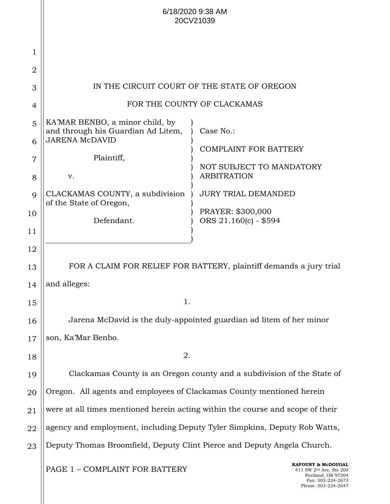|                |                                                                                                | 6/18/2020 9:38 AM<br>20CV21039                                                 |  |
|----------------|------------------------------------------------------------------------------------------------|--------------------------------------------------------------------------------|--|
| 1              |                                                                                                |                                                                                |  |
| $\overline{2}$ |                                                                                                |                                                                                |  |
| 3              |                                                                                                | IN THE CIRCUIT COURT OF THE STATE OF OREGON                                    |  |
| $\overline{4}$ |                                                                                                | FOR THE COUNTY OF CLACKAMAS                                                    |  |
| 5<br>6         | KA'MAR BENBO, a minor child, by<br>and through his Guardian Ad Litem,<br><b>JARENA McDAVID</b> | Case No.:<br><b>COMPLAINT FOR BATTERY</b>                                      |  |
| $\overline{7}$ | Plaintiff,                                                                                     |                                                                                |  |
| 8              | v.                                                                                             | NOT SUBJECT TO MANDATORY<br><b>ARBITRATION</b>                                 |  |
| 9              | CLACKAMAS COUNTY, a subdivision                                                                | <b>JURY TRIAL DEMANDED</b>                                                     |  |
| 10             | of the State of Oregon,                                                                        | PRAYER: \$300,000                                                              |  |
| 11             | Defendant.                                                                                     | ORS 21.160(c) - \$594                                                          |  |
| 12             |                                                                                                |                                                                                |  |
| 13             | FOR A CLAIM FOR RELIEF FOR BATTERY, plaintiff demands a jury trial                             |                                                                                |  |
| 14             | and alleges:                                                                                   |                                                                                |  |
| 15             | 1.                                                                                             |                                                                                |  |
| 16             |                                                                                                | Jarena McDavid is the duly-appointed guardian ad litem of her minor            |  |
| 17             | son, Ka'Mar Benbo.                                                                             |                                                                                |  |
| 18             | 2.                                                                                             |                                                                                |  |
| 19             | Clackamas County is an Oregon county and a subdivision of the State of                         |                                                                                |  |
| 20             | Oregon. All agents and employees of Clackamas County mentioned herein                          |                                                                                |  |
| 21             | were at all times mentioned herein acting within the course and scope of their                 |                                                                                |  |
| 22             | agency and employment, including Deputy Tyler Simpkins, Deputy Rob Watts,                      |                                                                                |  |
| 23             | Deputy Thomas Broomfield, Deputy Clint Pierce and Deputy Angela Church.                        |                                                                                |  |
|                | PAGE 1 - COMPLAINT FOR BATTERY                                                                 | KAFOURY & McDOUGAL<br>411 SW 2 <sup>nd</sup> Ave, Ste 200<br>Portland OR 97204 |  |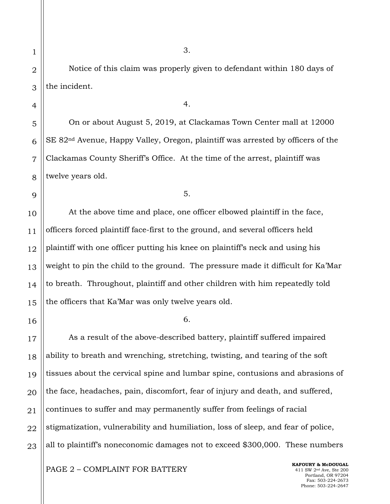Notice of this claim was properly given to defendant within 180 days of the incident.

4.

On or about August 5, 2019, at Clackamas Town Center mall at 12000 SE 82nd Avenue, Happy Valley, Oregon, plaintiff was arrested by officers of the Clackamas County Sheriff's Office. At the time of the arrest, plaintiff was twelve years old.

5.

At the above time and place, one officer elbowed plaintiff in the face, officers forced plaintiff face-first to the ground, and several officers held plaintiff with one officer putting his knee on plaintiff's neck and using his weight to pin the child to the ground. The pressure made it difficult for Ka'Mar to breath. Throughout, plaintiff and other children with him repeatedly told the officers that Ka'Mar was only twelve years old.

6.

As a result of the above-described battery, plaintiff suffered impaired ability to breath and wrenching, stretching, twisting, and tearing of the soft tissues about the cervical spine and lumbar spine, contusions and abrasions of the face, headaches, pain, discomfort, fear of injury and death, and suffered, continues to suffer and may permanently suffer from feelings of racial stigmatization, vulnerability and humiliation, loss of sleep, and fear of police, all to plaintiff's noneconomic damages not to exceed \$300,000. These numbers

PAGE 2 – COMPLAINT FOR BATTERY

**KAFOURY & McDOUGAL** 411 SW 2nd Ave, Ste 200 Portland, OR 97204 Fax: 503-224-2673 Phone: 503-224-2647